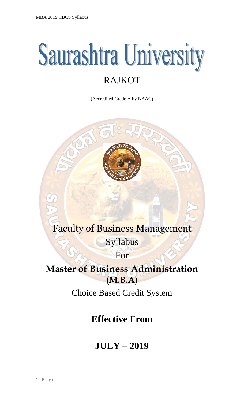# **Saurashtra University** RAJKOT

(Accredited Grade A by NAAC)



## Faculty of Business Management Syllabus

For

## **Master of Business Administration (M.B.A)**

Choice Based Credit System

**Effective From**

## **JULY – 2019**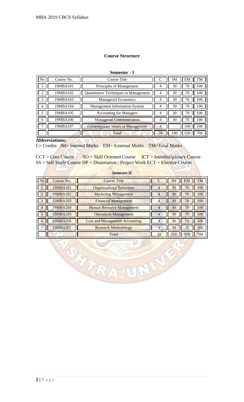## **Course Structure**

**Semester - I**

| N <sub>o</sub> | Course No. | Course Title                             |    | IΜ  | EM  | TM  |
|----------------|------------|------------------------------------------|----|-----|-----|-----|
|                | 19MBA101   | Principles of Management                 | 4  | 30  | 70  | 100 |
| $\overline{2}$ | 19MBA102   | Quantitative Techniques in Management    | 4  | 30  | 70  | 100 |
| 3              | 19MBA103   | <b>Managerial Economics</b>              | 4  | 30  | 70  | 100 |
| 4              | 19MBA104   | <b>Management Information System</b>     | 4  | 30  | 70  | 100 |
| 5              | 19MBA105   | <b>Accounting for Managers</b>           | 4  | 30  | 70  | 100 |
| 6              | 19MBA106   | <b>Managerial Communication</b>          | 4  | 30  | 70  | 100 |
|                | 19MBA107   | <b>Contemporary Issues in Management</b> | 4  |     | 100 | 100 |
|                |            | Total                                    | 28 | 180 | 520 | 700 |

## **Abbreviations:**

C= Credits IM= Internal Marks EM= External Marks TM=Total Marks

 $SO(2)$ 

00

 $CCT = \text{Core}$  Course  $\text{SO} = \text{Skill}$  Oriented Course ICT = Interdisciplinary Course SS = Self Study Course DP = Dissertation / Project Work ECT = Elective Course

|                |                | Semester II                           |    |           |                        |
|----------------|----------------|---------------------------------------|----|-----------|------------------------|
| <b>No</b>      | Course No.     | <b>Course Title</b>                   |    | <b>IM</b> | <b>EM</b><br><b>TM</b> |
|                | 19MBA201       | <b>Organizational Behaviour</b>       | 4  | 30        | 100<br>70              |
| $\overline{2}$ | 19MBA202       | <b>Marketing Management</b>           | 4  | 30        | 70<br>100              |
| $\overline{3}$ | 19MBA203       | <b>Financial Management</b>           |    | 30        | 100<br>70              |
| $\overline{4}$ | <b>9MBA204</b> | <b>Human Resource Management</b>      |    | 30        | 100<br>70              |
| .5             | 19MBA205       | <b>Operations Management</b>          | 4  | 30        | 100<br>70              |
| $\mathbf{a}$   | 19MBA206       | <b>Cost and Management Accounting</b> | 4  | 30        | 100<br>70              |
|                | 19MBA207       | <b>Research Methodology</b>           | 4  | 30        | 100<br>70              |
|                |                | Total                                 | 28 | 210       | 700<br>490             |

THURS

## **Semester II**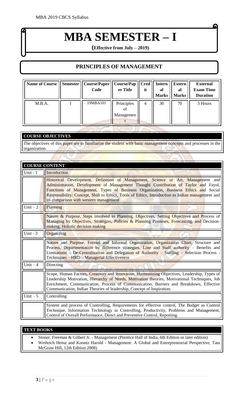## **MBA SEMESTER – I**

G

**(Effective from July – 2019)**

## **PRINCIPLES OF MANAGEMENT**

| <b>Name of Course</b> | Semester | Course/Paper<br>Code | Course/Pap<br>er Title        | <b>Cred</b><br>it | <b>Intern</b><br>al<br><b>Marks</b> | <b>Extern</b><br>al<br><b>Marks</b> | <b>External</b><br><b>Exam Time</b><br><b>Duration</b> |
|-----------------------|----------|----------------------|-------------------------------|-------------------|-------------------------------------|-------------------------------------|--------------------------------------------------------|
| M.B.A.                |          | 19MBA101             | Principles<br>of<br>Managemen | 4                 | 30                                  | 70                                  | 3 Hours                                                |

## **COURSE OBJECTIVES**

The objectives of this paper are to familiarize the student with basic management concepts and processes in the organization.

|            | <b>COURSE CONTENT</b>                                                                                                                                                                                                                                                                                                                                                                                        |
|------------|--------------------------------------------------------------------------------------------------------------------------------------------------------------------------------------------------------------------------------------------------------------------------------------------------------------------------------------------------------------------------------------------------------------|
| Unit - $1$ | Introduction                                                                                                                                                                                                                                                                                                                                                                                                 |
|            | Historical Development, Definition of Management, Science or Art, Management and<br>Administration, Development of Management Thought Contribution of Taylor and Fayol,<br>Functions of Management, Types of Business Organization, Business Ethics and Social<br>Responsibility: Concept, Shift to Ethics, Tools of Ethics, Introduction to Indian management and<br>its comparison with western management |
| Unit $-2$  | Planning                                                                                                                                                                                                                                                                                                                                                                                                     |
|            | Nature & Purpose, Steps involved in Planning, Objectives, Setting Objectives and Process of<br>Managing by Objectives, Strategies, Policies & Planning Premises, Forecasting, and Decision-<br>making, Holistic decision making                                                                                                                                                                              |
| Unit $-3$  | Organizing                                                                                                                                                                                                                                                                                                                                                                                                   |
|            | Nature and Purpose, Formal and Informal Organization, Organization Chart, Structure and<br>Process, Departmentation by difference strategies, Line and Staff authority – Benefits and<br>Limitations - De-Centralization and Delegation of Authority - Staffing - Selection Process -<br>Techniques - HRD - Managerial Effectiveness                                                                         |
| Unit $-4$  | Directing                                                                                                                                                                                                                                                                                                                                                                                                    |
|            | Scope, Human Factors, Creativity and Innovation, Harmonizing Objectives, Leadership, Types of<br>Leadership Motivation, Hierarchy of Needs, Motivation theories, Motivational Techniques, Job<br>Enrichment, Communication, Process of Communication, Barriers and Breakdown, Effective<br>Communication, Indian Theories of leadership, Concept of Inspiration.                                             |
| Unit $-5$  | Controlling                                                                                                                                                                                                                                                                                                                                                                                                  |
|            | System and process of Controlling, Requirements for effective control, The Budget as Control<br>Technique, Information Technology in Controlling, Productivity, Problems and Management,<br>Control of Overall Performance, Direct and Preventive Control, Reporting.                                                                                                                                        |

#### **TEXT BOOKS**

- Stoner, Freeman & Gilbert Jr. Management (Prentice Hall of India, 6th Edition or later edition)
- Weihrich Heinz and Koontz Harold Management: A Global and Entrepreneurial Perspective, Tata McGraw Hill, 12th Edition 2008)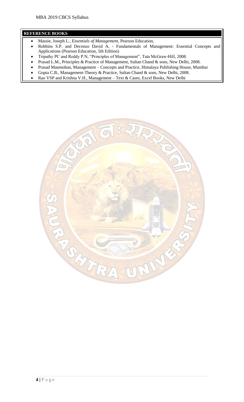- Massie, Joseph L., *Essentials of Management,* Pearson Education,
- Robbins S.P. and Decenzo David A. Fundamentals of Management: Essential Concepts and Applications (Pearson Education, 5th Edition)
- Tripathy PC and Reddy P.N, "Principles of Management", Tata McGraw-Hill, 2008.
- Prasad L.M., Principles & Practice of Management, Sultan Chand & sons, New Delhi, 2008.
- Prasad Manmohan, Management Concepts and Practice, Himalaya Publishing House, Mumbai
- Gupta C.B., Management-Theory & Practice, Sultan Chand & sons, New Delhi, 2008.
- Rao VSP and Krishna V.H., Management Text & Cases, Excel Books, New Delhi

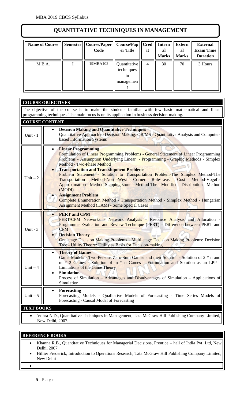## **QUANTITATIVE TECHNIQUES IN MANAGEMENT**

| <b>Name of Course</b> | Semester | <b>Course/Paper</b><br>Code | <b>Course/Pap</b><br>er Title                 | <b>Cred</b><br>it | <b>Intern</b><br>al<br><b>Marks</b> | <b>Extern</b><br>al<br><b>Marks</b> | <b>External</b><br><b>Exam Time</b><br><b>Duration</b> |
|-----------------------|----------|-----------------------------|-----------------------------------------------|-------------------|-------------------------------------|-------------------------------------|--------------------------------------------------------|
| M.B.A.                |          | 19MBA102                    | Quantitative<br>techniques<br>1n<br>managemen | 4                 | 30                                  | 70                                  | 3 Hours                                                |

|                   | <b>COURSE OBJECTIVES</b>                                                                                                                                                                                                                                                                                                                                                                                                                                                                                                                                                                                                                                                                                                      |
|-------------------|-------------------------------------------------------------------------------------------------------------------------------------------------------------------------------------------------------------------------------------------------------------------------------------------------------------------------------------------------------------------------------------------------------------------------------------------------------------------------------------------------------------------------------------------------------------------------------------------------------------------------------------------------------------------------------------------------------------------------------|
|                   | The objective of the course is to make the students familiar with few basic mathematical and linear<br>programming techniques. The main focus is on its application in business decision-making.                                                                                                                                                                                                                                                                                                                                                                                                                                                                                                                              |
|                   | <b>COURSE CONTENT</b>                                                                                                                                                                                                                                                                                                                                                                                                                                                                                                                                                                                                                                                                                                         |
| Unit - 1          | <b>Decision Making and Quantitative Techniques</b><br>Quantitative Approach to Decision Making: OR/MS - Quantitative Analysis and Computer-<br>based Information Systems                                                                                                                                                                                                                                                                                                                                                                                                                                                                                                                                                      |
| $Unit - 2$        | <b>Linear Programming</b><br>Formulation of Linear Programming Problems - General Statement of Linear Programming<br>Problems - Assumption Underlying Linear - Programming - Graphic Methods - Simplex<br><b>Method - Two-Phase Method</b><br><b>Transportation and Transshipment Problems</b><br>Problem Statement - Solution to Transportation Problem-The Simplex Method-The<br>Transportation Method-North-West Corner Rule-Least Cost<br>Method-Vogel's<br>Approximation Method-Stepping-stone Method-The Modified Distribution Method<br>(MODI)<br><b>Assignment Problem</b><br>Complete Enumeration Method - Transportation Method - Simplex Method - Hungarian<br><b>Assignment Method (HAM) - Some Special Cases</b> |
| Unit - $3$        | <b>PERT</b> and CPM<br>PERT/CPM Networks - Network Analysis - Resource Analysis and Allocation -<br>Programme Evaluation and Review Technique (PERT) - Difference between PERT and<br><b>CPM</b><br><b>Decision Theory</b><br>One-stage Decision Making Problems - Multi-stage Decision Making Problems: Decision<br>Tree - Utility Theory: Utility as Basis for Decision-making                                                                                                                                                                                                                                                                                                                                              |
| Unit $-4$         | <b>Theory of Games</b><br>Game Models - Two-Persons Zero-Sum Games and their Solution - Solution of 2 * n and<br>$m * 2$ Games - Solution of $m * n$ Games – Formulation and Solution as an LPP -<br><b>Limitations of the Game Theory</b><br><b>Simulation</b><br>Process of Simulation - Advantages and Disadvantages of Simulation - Applications of<br>Simulation                                                                                                                                                                                                                                                                                                                                                         |
| $Unit - 5$        | Forecasting<br>٠<br>Forecasting Models - Qualitative Models of Forecasting - Time Series Models of<br>Forecasting - Causal Model of Forecasting                                                                                                                                                                                                                                                                                                                                                                                                                                                                                                                                                                               |
| <b>TEXT BOOKS</b> |                                                                                                                                                                                                                                                                                                                                                                                                                                                                                                                                                                                                                                                                                                                               |
|                   | Vohra N.D., Quantitative Techniques in Management, Tata McGraw Hill Publishing Company Limited,<br>New Delhi, 2007.                                                                                                                                                                                                                                                                                                                                                                                                                                                                                                                                                                                                           |

## **REFERENCE BOOKS**

- Khanna R.B., Quantitative Techniques for Managerial Decisions, Prentice hall of India Pvt. Ltd, New Delhi, 2007
- Hillier Frederick, Introduction to Operations Research, Tata McGraw Hill Publishing Company Limited, New Delhi

•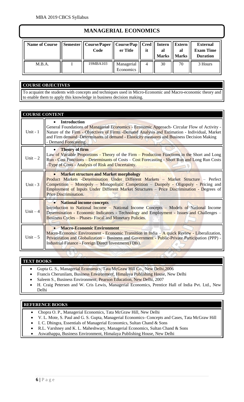## **MANAGERIAL ECONOMICS**

| <b>Name of Course</b> | Semester    Course/Paper    Course/Pap    Cred    Intern    Extern<br>Code | er Title                | it | al<br><b>Marks</b> | al<br><b>Marks</b> | <b>External</b><br><b>Exam Time</b><br><b>Duration</b> |
|-----------------------|----------------------------------------------------------------------------|-------------------------|----|--------------------|--------------------|--------------------------------------------------------|
| M.B.A.                | 19MBA103                                                                   | Managerial<br>Economics |    | 30                 | 70                 | 3 Hours                                                |

## **COURSE OBJECTIVES**

To acquaint the students with concepts and techniques used in Micro-Economic and Macro-economic theory and to enable them to apply this knowledge in business decision making.

| <b>COURSE CONTENT</b> |                                                                                                                                                                                                                                                                                                                                                             |
|-----------------------|-------------------------------------------------------------------------------------------------------------------------------------------------------------------------------------------------------------------------------------------------------------------------------------------------------------------------------------------------------------|
| Unit - $1$            | <b>Introduction</b><br>General Foundations of Managerial Economics - Economic Approach- Circular Flow of Activity -<br>Nature of the Firm - Objectives of Firms -Demand Analysis and Estimation - Individual, Market<br>and Firm demand -Determinants of demand - Elasticity measures and Business Decision Making<br>- Demand Forecasting.                 |
| Unit $-2$             | <b>Theory of firm</b><br>Law of Variable Proportions - Theory of the Firm - Production Functions in the Short and Long<br>Run - Cost Functions - Determinants of Costs - Cost Forecasting - Short Run and Long Run Costs<br>-Type of Costs - Analysis of Risk and Uncertainty.                                                                              |
| Unit - $3$            | <b>Market structure and Market morphology</b><br>Product Markets -Determination Under Different Markets - Market Structure - Perfect<br>Competition - Monopoly - Monopolistic Competition - Duopoly - Oligopoly - Pricing and<br>Employment of Inputs Under Different Market Structures - Price Discrimination - Degrees of<br><b>Price Discrimination.</b> |
| Unit $-4$             | <b>National income concepts</b><br>Introduction to National Income - National Income Concepts - Models of National Income<br>Determination - Economic Indicators - Technology and Employment - Issues and Challenges -<br><b>Business Cycles - Phases-Fiscal and Monetary Policies.</b>                                                                     |
| Unit $-5$             | <b>Macro-Economic Environment</b><br>Macro-Economic Environment - Economic Transition in India – A quick Review - Liberalization,<br>Privatization and Globalization - Business and Government - Public-Private Participation (PPP) -<br>Industrial Finance - Foreign Direct Investment (FDIs).                                                             |
|                       |                                                                                                                                                                                                                                                                                                                                                             |

#### **TEXT BOOKS**

- Gupta G. S., Managerial Economics, Tata McGraw Hill Co., New Delhi, 2006
- Francis Cherunilam, Business Environment, Himalaya Publishing House, New Delhi
- Saleem S., Business Environment, Pearson Education, New Delhi, 2007
- H. Craig Petersen and W. Cris Lewis, Managerial Economics, Prentice Hall of India Pvt. Ltd., New Delhi

- Chopra O. P., Managerial Economics, Tata McGraw Hill, New Delhi
- V. L. Mote, S. Paul and G. S. Gupta, Managerial Economics- Concepts and Cases, Tata McGraw Hill
- I. C. Dhingra, Essentials of Managerial Economics, Sultan Chand & Sons
- R.L. Varshney and K. L. Maheshwary, Managerial Economics, Sultan Chand & Sons
- Aswathappa, Business Environment, Himalaya Publishing House, New Delhi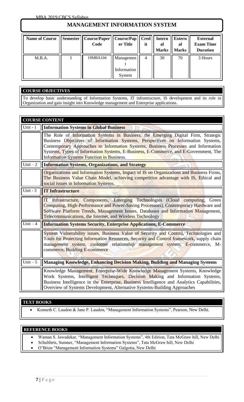## **MANAGEMENT INFORMATION SYSTEM**

| <b>Name of Course</b> | <b>Semester</b> | Course/Paper    Course/Pap   <br>Code | er Title                           | Cred<br>it | <b>Intern</b><br>al | <b>Extern</b><br>al<br>Marks    Marks | <b>External</b><br><b>Exam Time</b><br><b>Duration</b> |
|-----------------------|-----------------|---------------------------------------|------------------------------------|------------|---------------------|---------------------------------------|--------------------------------------------------------|
| M.B.A.                |                 | 19MBA104                              | Managemen<br>Information<br>System | 4          | 30                  | 70                                    | 3 Hours                                                |

### **COURSE OBJECTIVES**

To develop basic understanding of Information Systems, IT infrastructure, IS development and its role in Organization and gain insight into Knowledge management and Enterprise applications.

|            | <b>COURSE CONTENT</b>                                                                                                                                                                                                                                                                                                                                                                                   |
|------------|---------------------------------------------------------------------------------------------------------------------------------------------------------------------------------------------------------------------------------------------------------------------------------------------------------------------------------------------------------------------------------------------------------|
| Unit - $1$ | <b>Information Systems in Global Business</b>                                                                                                                                                                                                                                                                                                                                                           |
|            | The Role of Information Systems in Business, the Emerging Digital Firm, Strategic<br>Business Objectives of Information Systems, Perspectives on Information Systems,<br>Contemporary Approaches to Information Systems, Business Processes and Information<br>Systems, Types of Information Systems, E-Business, E-Commerce, and E-Government, The<br><b>Information Systems Function in Business.</b> |
| Unit $-2$  | <b>Information Systems, Organizations, and Strategy</b>                                                                                                                                                                                                                                                                                                                                                 |
|            | Organizations and Information Systems, Impact of IS on Organizations and Business Firms,<br>The Business Value Chain Model, achieving competitive advantage with IS, Ethical and<br>social issues in Information Systems.                                                                                                                                                                               |
| Unit - $3$ | <b>IT Infrastructure</b>                                                                                                                                                                                                                                                                                                                                                                                |
|            | <b>IT</b> Infrastructure, Components, Emerging Technologies (Cloud computing,<br>Green<br>Computing, High-Performance and Power-Saving Processors), Contemporary Hardware and<br>Software Platform Trends, Management Issues, Databases and Information Management,<br>Telecommunications, the Internet, and Wireless Technology                                                                        |
| Unit $-4$  | <b>Information Systems Security, Enterprise Applications, E-Commerce</b>                                                                                                                                                                                                                                                                                                                                |
|            | System Vulnerability issues, Business Value of Security and Control, Technologies and<br>Tools for Protecting Information Resources, Security and Control framework, supply chain<br>management system, customer relationship management system, E-commerce, M-<br>commerce, Building E-commerce                                                                                                        |
| Unit $-5$  | Managing Knowledge, Enhancing Decision Making, Building and Managing Systems                                                                                                                                                                                                                                                                                                                            |
|            | Knowledge Management, Enterprise-Wide Knowledge Management Systems, Knowledge<br>Work Systems, Intelligent Techniques, Decision Making and Information Systems,<br>Business Intelligence in the Enterprise, Business Intelligence and Analytics Capabilities,<br>Overview of Systems Development, Alternative Systems-Building Approaches                                                               |

#### **TEXT BOOKS**

• Kenneth C. Laudon & Jane P. Laudon, "Management Information Systems", Pearson, New Delhi.

- Waman S. Jawadekar, "Management Information Systems", 4th Edition, Tata McGraw hill, New Delhi
- Schultheis, Sumner, "Management Information Systems", Tata McGraw hill, New Delhi
- O'Brien "Management Information Systems" Galgotia, New Delhi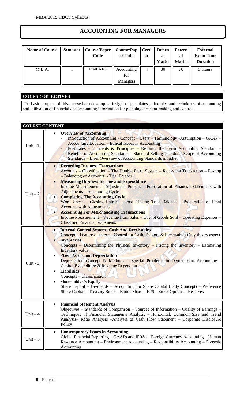## **ACCOUNTING FOR MANAGERS**

| Name of Course    Semester    Course/Paper    Course/Pap    Cred    Intern | Code     | er Title                      | it | al<br>Marks | <b>Extern</b><br>al<br><b>Marks</b> | <b>External</b><br><b>Exam Time</b><br><b>Duration</b> |
|----------------------------------------------------------------------------|----------|-------------------------------|----|-------------|-------------------------------------|--------------------------------------------------------|
| M.B.A.                                                                     | 19MBA105 | Accounting<br>for<br>Managers | 4  | 30          | 70                                  | 3 Hours                                                |

## **COURSE OBJECTIVES**

The basic purpose of this course is to develop an insight of postulates, principles and techniques of accounting and utilization of financial and accounting information for planning decision-making and control.

| <b>COURSE CONTENT</b> |                                                                                                                                                                                                                                                                                                                                                                                                                                                                                                                                                                                                                                                                                                                                          |
|-----------------------|------------------------------------------------------------------------------------------------------------------------------------------------------------------------------------------------------------------------------------------------------------------------------------------------------------------------------------------------------------------------------------------------------------------------------------------------------------------------------------------------------------------------------------------------------------------------------------------------------------------------------------------------------------------------------------------------------------------------------------------|
| Unit - 1              | <b>Overview of Accounting</b><br>$\bullet$<br>Introduction of Accounting - Concept - Users - Terminology - Assumption - GAAP -<br><b>Accounting Equation – Ethical Issues in Accounting</b><br>Postulates – Concepts & Principles – Defining the Term Accounting Standard –<br>Benefits of Accounting Standards – Standard Setting in India – Scope of Accounting<br>Standards - Brief Overview of Accounting Standards in India.                                                                                                                                                                                                                                                                                                        |
| Unit $-2$             | <b>Recording Business Transactions</b><br>Accounts – Classification – The Double Entry System – Recording Transaction – Posting<br>- Balancing of Accounts - Trial Balance<br><b>Measuring Business Income and Expenditure</b><br>Income Measurement - Adjustment Process - Preparation of Financial Statements with<br><b>Adjustments - Accounting Cycle</b><br><b>Completing The Accounting Cycle</b><br>Work Sheet – Closing Entries – Post Closing Trial Balance – Preparation of Final<br><b>Accounts with Adjustments.</b><br><b>Accounting For Merchandising Transactions</b><br><u>Income Measurement – Revenue from Sales – Cost of Goods Sold – Operating Expenses – </u><br><b>Classified Financial Statements</b>            |
| Unit - $3$            | <b>Internal Control Systems-Cash And Receivables</b><br>Concept – Features – Internal Control for Cash, Debtors $\&$ Receivables Only theory aspect<br><b>Inventories</b><br>Concepts – Determining the Physical Inventory – Pricing the Inventory – Estimating<br><b>Inventory</b> value<br><b>Fixed Assets and Depreciation</b><br>Depreciation Concept & Methods - Special Problems in Depreciation Accounting -<br>Capital Expenditure & Revenue Expenditure<br><b>Liabilities</b><br>Concepts – Classification<br><b>Shareholder's Equity</b><br>$\bullet$<br>Share Capital – Dividends – Accounting for Share Capital (Only Concept) – Preference<br>Share Capital - Treasury Stock - Bonus Share - EPS - Stock Options - Reserves |
| $Unit - 4$            | <b>Financial Statement Analysis</b><br>$\bullet$<br>Objectives – Standards of Comparison – Sources of Information – Quality of Earnings –<br>Techniques of Financial Statements Analysis - Horizontal, Common Size and Trend<br>Analysis- Ratio Analysis -Analysis of Cash Flow Statement - Corporate Disclosure<br>Policy                                                                                                                                                                                                                                                                                                                                                                                                               |
| Unit $-5$             | <b>Contemporary Issues in Accounting</b><br>$\bullet$<br>Global Financial Reporting - GAAPs and IFRSs - Foreign Currency Accounting - Human<br>Resource Accounting – Environment Accounting – Responsibility Accounting – Forensic<br>Accounting                                                                                                                                                                                                                                                                                                                                                                                                                                                                                         |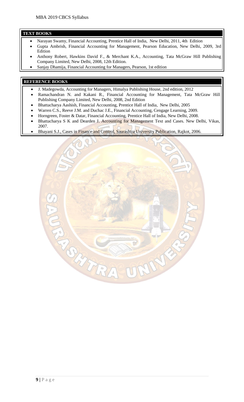#### **TEXT BOOKS**

- Narayan Swamy, Financial Accounting, Prentice Hall of India, New Delhi, 2011, 4th Edition
- Gupta Ambrish, Financial Accounting for Management, Pearson Education, New Delhi, 2009, 3rd Edition
- Anthony Robert, Hawkins David F., & Merchant K.A., Accounting, Tata McGraw Hill Publishing Company Limited, New Delhi, 2008, 12th Edition.
- Sanjay Dhamija, Financial Accounting for Managers, Pearson, 1st edition

- J. Madegowda, Accounting for Managers, Himalya Publishing House, 2nd edition, 2012
- Ramachandran N. and Kakani R., Financial Accounting for Management, Tata McGraw Hill Publishing Company Limited, New Delhi, 2008, 2nd Edition
- Bhattacharya Aashish, Financial Accounting, Prentice Hall of India, New Delhi, 2005
- Warren C.S., Reeve J.M. and Duchac J.E., Financial Accounting, Cengage Learning, 2009.
- Horngreen, Foster & Datar, Financial Accounting, Prentice Hall of India, New Delhi, 2008.
- Bhattacharya S K and Dearden J. Accounting for Management Text and Cases. New Delhi, Vikas, 2007.
- Bhayani S.J., Cases in Finance and Control, Saurashtra University Publication, Rajkot, 2006.

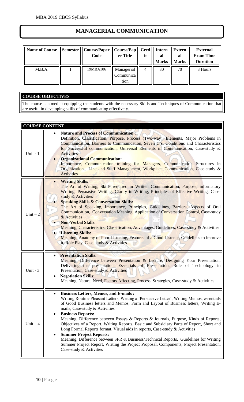## **MANAGERIAL COMMUNICATION**

| Name of Course | Semester    Course/Paper    Course/Pap    Cred    Intern    Extern<br>Code | er Title                        | it | al<br>Marks    Marks | al | <b>External</b><br><b>Exam Time</b><br><b>Duration</b> |
|----------------|----------------------------------------------------------------------------|---------------------------------|----|----------------------|----|--------------------------------------------------------|
| M.B.A.         | 19MBA106                                                                   | Managerial<br>Communica<br>tion | 4  | 30                   | 70 | 3 Hours                                                |

## **COURSE OBJECTIVES**

The course is aimed at equipping the students with the necessary Skills and Techniques of Communication that are useful in developing skills of communicating effectively.

| <b>COURSE CONTENT</b> |                                                                                                                                                                                                                                                                                                                                                                                                                                                                                                                                                                                                                                                                                                                                                                                                                                    |
|-----------------------|------------------------------------------------------------------------------------------------------------------------------------------------------------------------------------------------------------------------------------------------------------------------------------------------------------------------------------------------------------------------------------------------------------------------------------------------------------------------------------------------------------------------------------------------------------------------------------------------------------------------------------------------------------------------------------------------------------------------------------------------------------------------------------------------------------------------------------|
| Unit - 1              | <b>Nature and Process of Communication:</b><br>$\bullet$<br>Definition, Classification, Purpose, Process (Two-way), Elements, Major Problems in<br>Communication, Barriers to Communication, Seven C's, Conditions and Characteristics<br>for Successful communication, Universal Elements in Communication, Case-study &<br><b>Activities</b><br><b>Organizational Communication:</b><br>$\bullet$<br>Importance, Communication training for Managers, Communication Structures in<br>Organizations, Line and Staff Management, Workplace Communication, Case-study &<br>Activities                                                                                                                                                                                                                                               |
| Unit $-2$             | <b>Writing Skills:</b><br>The Art of Writing, Skills required in Written Communication, Purpose, informatory<br>Writing, Persuasive Writing, Clarity in Writing, Principles of Effective Writing, Case-<br>study & Activities<br><b>Speaking Skills &amp; Conversation Skills:</b><br>The Art of Speaking, Importance, Principles, Guidelines, Barriers, Aspects of Oral<br>Communication, Conversation Meaning, Application of Conversation Control, Case-study<br>& Activities<br><b>Non-Verbal Skills:</b><br>Meaning, Characteristics, Classification, Advantages, Guidelines, Case-study & Activities<br>• Listening Skills:<br>Meaning, Anatomy of Poor Listening, Features of a Good Listener, Guidelines to improve<br>it, Role Play, Case-study & Activities                                                              |
| Unit - $3$            | <b>Presentation Skills:</b><br>$\bullet$<br>Meaning, Difference between Presentation & Lecture, Designing Your Presentation,<br>Delivering the presentation, Essentials of Presentation, Role of Technology in<br>Presentation, Case-study & Activities<br><b>Negotiation Skills:</b><br>٠<br>Meaning, Nature, Need, Factors Affecting, Process, Strategies, Case-study & Activities                                                                                                                                                                                                                                                                                                                                                                                                                                               |
| $Unit - 4$            | <b>Business Letters, Memos, and E-mails:</b><br>$\bullet$<br>Writing Routine Pleasant Letters, Writing a 'Persuasive Letter', Writing Memos, essentials<br>of Good Business letters and Memos, Form and Layout of Business letters, Writing E-<br>mails, Case-study & Activities<br><b>Business Reports:</b><br>٠<br>Meaning, Difference between Essays & Reports & Journals, Purpose, Kinds of Reports,<br>Objectives of a Report, Writing Reports, Basic and Subsidiary Parts of Report, Short and<br>Long Formal Reports format, Visual aids in reports, Case-study & Activities<br><b>Summer Project Reports:</b><br>Meaning, Difference between SPR & Business/Technical Reports, Guidelines for Writing<br>Summer Project Report, Writing the Project Proposal, Components, Project Presentation,<br>Case-study & Activities |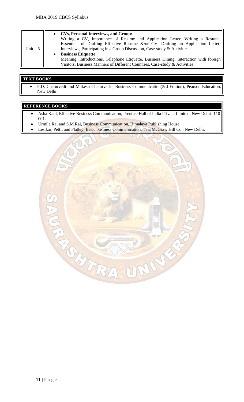| Unit $-5$ | <b>CVs, Personal Interviews, and Group:</b><br>Writing a CV, Importance of Resume and Application Letter, Writing a Resume,<br>Essentials of Drafting Effective Resume &/or CV, Drafting an Application Letter,<br>Interviews, Participating in a Group Discussion, Case-study & Activities<br><b>Business Etiquette:</b><br>Meaning, Introductions, Telephone Etiquette, Business Dining, Interaction with foreign |
|-----------|---------------------------------------------------------------------------------------------------------------------------------------------------------------------------------------------------------------------------------------------------------------------------------------------------------------------------------------------------------------------------------------------------------------------|
|           | Visitors, Business Manners of Different Countries, Case-study & Activities                                                                                                                                                                                                                                                                                                                                          |

## **TEXT BOOKS**

• P.D. Chaturvedi and Mukesh Chaturvedi , Business Communication(3rd Edition), Pearson Education, New Delhi.

- Asha Kaul, Effective Business Communication, Prentice Hall of India Private Limited, New Delhi- 110 001.
- Urmila Rai and S.M.Rai, Business Communication, Himalaya Publishing House.
- Lesikar, Pettit and Flatley, Basic business Communication, Tata McGraw Hill Co., New Delhi.

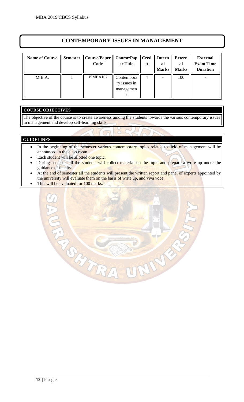## **CONTEMPORARY ISSUES IN MANAGEMENT**

| <b>Name of Course</b> | <b>Semester</b> | <b>Course/Paper</b><br>Code | Course/Pap<br>er Title                  | <b>Cred</b><br>it | <b>Intern</b><br>al<br><b>Marks</b> | <b>Extern</b><br>al<br><b>Marks</b> | <b>External</b><br><b>Exam Time</b><br><b>Duration</b> |
|-----------------------|-----------------|-----------------------------|-----------------------------------------|-------------------|-------------------------------------|-------------------------------------|--------------------------------------------------------|
| M.B.A.                |                 | 19MBA107                    | Contempora<br>ry issues in<br>managemen | 4                 |                                     | 100                                 |                                                        |

## **COURSE OBJECTIVES**

The objective of the course is to create awareness among the students towards the various contemporary issues in management and develop self-learning skills.

#### **GUIDELINES**

- In the beginning of the semester various contemporary topics related to field of management will be announced in the class room.
- Each student will be allotted one topic.
- During semester all the students will collect material on the topic and prepare a write up under the guidance of faculty.
- At the end of semester all the students will present the written report and panel of experts appointed by the university will evaluate them on the basis of write up, and viva voce.
- This will be evaluated for 100 marks.

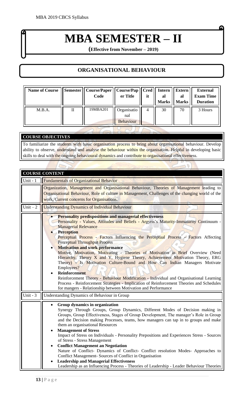## **MBA SEMESTER – II**

**(Effective from November – 2019)**

## **ORGANISATIONAL BEHAVIOUR**

| <b>Name of Course</b> |   | Semester    Course/Paper    Course/Pap    Cred    Intern<br>Code | er Title                        | it | al<br><b>Marks</b> | Extern   <br>al<br>Marks | <b>External</b><br><b>Exam Time</b><br><b>Duration</b> |
|-----------------------|---|------------------------------------------------------------------|---------------------------------|----|--------------------|--------------------------|--------------------------------------------------------|
| M.B.A.                | П | 19MBA201                                                         | Organisatio<br>nal<br>Behaviour | 4  | 30                 | 70                       | 3 Hours                                                |

## **COURSE OBJECTIVES**

To familiarize the students with basic organisation process to bring about organisational behaviour. Develop ability to observe, understand and analyse the behaviour within the organisation. Helpful in developing basic skills to deal with the ongoing behavioural dynamics and contribute to organisational effectiveness.

|                       | <b>COURSE CONTENT</b>                                                                                                                                                                                                                                                                                                                                                                                                                                                                                                                                                                                                                                                                                                                                                                                                                                                                                                                  |
|-----------------------|----------------------------------------------------------------------------------------------------------------------------------------------------------------------------------------------------------------------------------------------------------------------------------------------------------------------------------------------------------------------------------------------------------------------------------------------------------------------------------------------------------------------------------------------------------------------------------------------------------------------------------------------------------------------------------------------------------------------------------------------------------------------------------------------------------------------------------------------------------------------------------------------------------------------------------------|
| Unit - $1$            | <b>Fundamentals of Organizational Behavior</b>                                                                                                                                                                                                                                                                                                                                                                                                                                                                                                                                                                                                                                                                                                                                                                                                                                                                                         |
|                       | Organization, Management and Organisational Behaviour, Theories of Management leading to<br>Organisational Behaviour, Role of culture in Management, Challenges of the changing world of the<br>work, Current concerns for Organisations.                                                                                                                                                                                                                                                                                                                                                                                                                                                                                                                                                                                                                                                                                              |
| Unit $-2$             | <b>Understanding Dynamics of Individual Behaviour</b>                                                                                                                                                                                                                                                                                                                                                                                                                                                                                                                                                                                                                                                                                                                                                                                                                                                                                  |
|                       | <b>Personality predispositions and managerial effectiveness</b><br>Personality - Values, Attitudes and Beliefs - Argyris's Maturity-Immaturity Continuum -<br><b>Managerial Relevance</b><br><b>Perception</b><br>Perceptual Process - Factors Influencing the Perceptual Process - Factors Affecting<br><b>Perceptual Throughput Process</b><br><b>Motivation and work performance</b><br>Motive, Motivation, Motivating - Theories of Motivation in Brief Overview (Need<br>Hierarchy, Theory X and Y, Hygiene Theory, Achievement Motivation Theory, ERG<br>Theory) - Is Motivation Culture-Bound and How Can Indian Managers Motivate<br>Employees?<br><b>Reinforcement</b><br>Reinforcement Theory - Behaviour Modification - Individual and Organisational Learning<br>Process - Reinforcement Strategies - Implication of Reinforcement Theories and Schedules<br>for mangers - Relationship between Motivation and Performance |
| Unit - $\overline{3}$ | Understanding Dynamics of Behaviour in Group                                                                                                                                                                                                                                                                                                                                                                                                                                                                                                                                                                                                                                                                                                                                                                                                                                                                                           |
|                       | Group dynamics in organization<br>$\bullet$<br>Synergy Through Groups, Group Dynamics, Different Modes of Decision making in<br>Groups, Group Effectiveness, Stages of Group Development, The manager's Role in Group<br>and the Decision making Processes, teams, how managers can tap in to groups and make<br>them an organisational Resources<br><b>Management of Stress</b><br>$\bullet$                                                                                                                                                                                                                                                                                                                                                                                                                                                                                                                                          |
|                       | Impact of Stress on Individuals - Personality Prepositions and Experiences Stress - Sources<br>of Stress - Stress Management<br><b>Conflict Management an Negotiation</b><br>$\bullet$<br>Nature of Conflict- Dynamics of Conflict- Conflict resolution Modes- Approaches to<br>Conflict Management- Sources of Conflict in Organisation                                                                                                                                                                                                                                                                                                                                                                                                                                                                                                                                                                                               |
|                       | <b>Leadership and Managerial Effectiveness</b><br>Leadership as an Influencing Process - Theories of Leadership - Leader Behaviour Theories                                                                                                                                                                                                                                                                                                                                                                                                                                                                                                                                                                                                                                                                                                                                                                                            |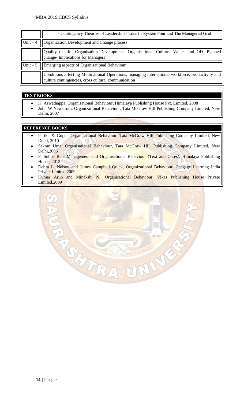|           | - Contingency Theories of Leadership - Likert's System Four and The Managerial Grid                                                                   |
|-----------|-------------------------------------------------------------------------------------------------------------------------------------------------------|
| Unit $-4$ | Organization Development and Change process                                                                                                           |
|           | Quality of life- Organisation Development- Organisational Culture- Values and OD- Planned<br>change- Implications for Managers                        |
| Unit $-5$ | Emerging aspects of Organisational Behaviour                                                                                                          |
|           | Conditions affecting Multinational Operations, managing international workforce, productivity and culture contingencies, cross cultural communication |

#### **TEXT BOOKS**

- K. Aswathappa, Organisational Behaviour, Himalaya Publishing House Pvt. Limited, 2008
- John W Newstrom, Organizational Behaviour, Tata McGraw Hill Publishing Company Limited, New Delhi, 2007

- Parikh & Gupta, Organisational Behaviour, Tata McGraw Hill Publishing Company Limited, New Delhi, 2010
- Sekran Uma, Organisational Behaviour, Tata McGraw Hill Publishing Company Limited, New Delhi,2006
- P. Subba Rao, Management and Organisational Behaviour (Text and Cases), Himalaya Publishing House, 2012
- Debra L. Nelson and James Campbell Quick, Organizational Behaviour, Cengage Learning India Private Limited,2009
- Kumar Arun and Minakshi N., Organisational Behaviour, Vikas Publishing House Private Limited,2009

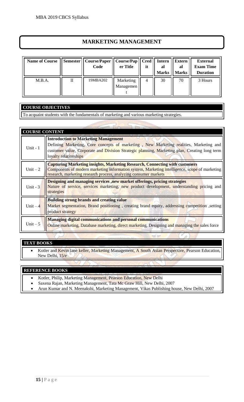## **MARKETING MANAGEMENT**

| <b>Name of Course</b> |              | Semester    Course/Paper    Course/Pap  <br>Code | er Title               | $\vert$ Cred $\vert$<br>it | <b>Intern</b><br>al<br><b>Marks</b> | <b>Extern</b><br>al<br><b>Marks</b> | <b>External</b><br><b>Exam Time</b><br><b>Duration</b> |
|-----------------------|--------------|--------------------------------------------------|------------------------|----------------------------|-------------------------------------|-------------------------------------|--------------------------------------------------------|
| M.B.A.                | $\mathbf{I}$ | 19MBA202                                         | Marketing<br>Managemen | 4                          | 30                                  | 70                                  | 3 Hours                                                |

## **COURSE OBJECTIVES**

To acquaint students with the fundamentals of marketing and various marketing strategies.

| <b>COURSE CONTENT</b> |                                                                                                                                                                                                                                                                 |
|-----------------------|-----------------------------------------------------------------------------------------------------------------------------------------------------------------------------------------------------------------------------------------------------------------|
| Unit - 1              | <b>Introduction to Marketing Management</b><br>Defining Marketing, Core concepts of marketing, New Marketing realities, Marketing and<br>customer value, Corporate and Division Strategic planning, Marketing plan, Creating long term<br>loyalty relationships |
| Unit $-2$             | <b>Capturing Marketing insights, Marketing Research, Connecting with customers</b><br>Components of modern marketing information system, Marketing intelligence, scope of marketing<br>research, marketing research process, analyzing consumer markets         |
| Unit $-3$             | Designing and managing services, new market offerings, pricing strategies<br>Nature of service, services marketing, new product development, understanding pricing and<br>strategies                                                                            |
| Unit $-4$             | <b>Building strong brands and creating value</b><br>Market segmentation, Brand positioning, creating brand equity, addressing competition, setting<br>product strategy                                                                                          |
| Unit $-5$             | Managing digital communications and personal communications<br>Online marketing, Database marketing, direct marketing, Designing and managing the sales force                                                                                                   |

## **TEXT BOOKS**

• Kotler and Kevin lane keller, Marketing Management, A South Asian Perspective, Pearson Education, New Delhi, 15/e

- Kotler, Philip, Marketing Management, Pearson Education, New Delhi
- Saxena Rajan, Marketing Management, Tata Mc Graw Hill, New Delhi, 2007
- Arun Kumar and N. Meenakshi, Marketing Management, Vikas Publishing house, New Delhi, 2007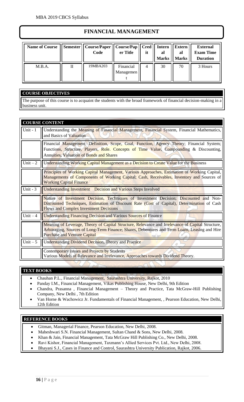## **FINANCIAL MANAGEMENT**

| <b>Name of Course</b> |   | Semester    Course/Paper    Course/Pap    Cred   <br>Code | er Title               | it | Intern<br>al<br><b>Marks</b> | Extern<br>al<br><b>Marks</b> | <b>External</b><br><b>Exam Time</b><br><b>Duration</b> |
|-----------------------|---|-----------------------------------------------------------|------------------------|----|------------------------------|------------------------------|--------------------------------------------------------|
| M.B.A.                | П | 19MBA203                                                  | Financial<br>Managemen | 4  | 30                           | 70                           | 3 Hours                                                |

## **COURSE OBJECTIVES**

The purpose of this course is to acquaint the students with the broad framework of financial decision-making in a business unit.

|           | <b>COURSE CONTENT</b>                                                                                                                                                                                                                      |
|-----------|--------------------------------------------------------------------------------------------------------------------------------------------------------------------------------------------------------------------------------------------|
| Unit $-1$ | Understanding the Meaning of Financial Management, Financial System, Financial Mathematics,<br>and Basics of Valuation                                                                                                                     |
|           | Financial Management: Definition, Scope, Goal, Function, Agency Theory; Financial System;<br>Functions, Structure, Players, Role. Concepts of Time Value, Compounding & Discounting,<br><b>Annuities, Valuation of Bonds and Shares</b>    |
| Unit $-2$ | Understanding Working Capital Management as a Decision to Create Value for the Business                                                                                                                                                    |
|           | Principles of Working Capital Management, Various Approaches, Estimation of Working Capital,<br>Managements of Components of Working Capital; Cash, Receivables, Inventory and Sources of<br><b>Working Capital Finance</b>                |
| Unit $-3$ | <b>Understanding Investment</b> Decision and Various Steps Involved                                                                                                                                                                        |
|           | Nature of Investment Decision, Techniques of Investment Decision; Discounted and Non-<br>Discounted Techniques, Estimation of Discount Rate (Cost of Capital), Determination of Cash<br><b>Flows and Complex Investment Decisions</b>      |
| Unit $-4$ | <b>Understanding Financing Decision and Various Sources of Finance</b>                                                                                                                                                                     |
|           | Meaning of Leverage, Theory of Capital Structure, Relevance and Irrelevance of Capital Structure,<br>Arbitraging, Sources of Long-Term Finance; Shares, Debentures and Term Loans, Leasing and Hire<br><b>Purchase and Venture Capital</b> |
| Unit $-5$ | <b>Understanding Dividend Decision, Theory and Practice</b>                                                                                                                                                                                |
|           | Contemporary Issues and Projects by Students<br>Various Models of Relevance and Irrelevance, Approaches towards Dividend Theory.                                                                                                           |

### **TEXT BOOKS**

- Chauhan P.L., Financial Management, Saurashtra University, Rajkot, 2010
- Panday I.M., Financial Management, Vikas Publishing House, New Delhi, 9th Edition
- Chandra, Prasanna , Financial Management Theory and Practice, Tata McGraw-Hill Publishing Company, New Delhi , 7th Edition
- Van Horne & Wachowicz Jr. Fundamentals of Financial Management, , Pearson Education, New Delhi, 12th Edition

- Gitman, Managerial Finance, Pearson Education, New Delhi, 2008.
- Maheshwari S.N. Financial Management, Sultan Chand & Sons, New Delhi, 2008.
- Khan & Jain, Financial Management, Tata McGraw Hill Publishing Co., New Delhi, 2008.
- Ravi Kishor, Financial Management, Taxmann's Allied Services Pvt. Ltd., New Delhi, 2008.
- Bhayani S.J., Cases in Finance and Control, Saurashtra University Publication, Rajkot, 2006.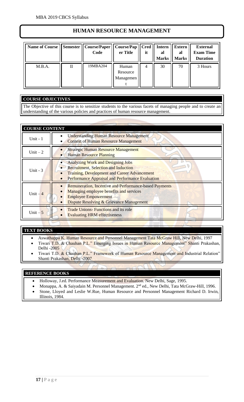## **HUMAN RESOURCE MANAGEMENT**

| Name of Course | <b>Semester</b> | Course/Paper<br>Code | Course/Pap<br>er Title         | <b>Cred</b><br>it | <b>Intern</b><br>al<br><b>Marks</b> | <b>Extern</b><br>al<br><b>Marks</b> | <b>External</b><br><b>Exam Time</b><br><b>Duration</b> |
|----------------|-----------------|----------------------|--------------------------------|-------------------|-------------------------------------|-------------------------------------|--------------------------------------------------------|
| M.B.A.         | П               | 19MBA204             | Human<br>Resource<br>Managemen | 4                 | 30                                  | 70                                  | 3 Hours                                                |

## **COURSE OBJECTIVES**

The Objective of this course is to sensitize students to the various facets of managing people and to create an understanding of the various policies and practices of human resource management.

| <b>COURSE CONTENT</b> |                                                                                                                                                                                                    |  |  |  |  |
|-----------------------|----------------------------------------------------------------------------------------------------------------------------------------------------------------------------------------------------|--|--|--|--|
| Unit $-1$             | <b>Understanding Human Resource Management</b><br><b>Context of Human Resource Management</b>                                                                                                      |  |  |  |  |
| Unit $-2$             | <b>Strategic Human Resource Management</b><br><b>Human Resource Planning</b>                                                                                                                       |  |  |  |  |
| Unit $-3$             | <b>Analyzing Work and Designing Jobs</b><br><b>Recruitment, Selection and Induction</b><br><b>Training, Development and Career Advancement</b><br>Performance Appraisal and Performance Evaluation |  |  |  |  |
| Unit $-4$             | <b>Remuneration, Incentive and Performance-based Payments</b><br>Managing employee benefits and services<br><b>Employee Empowerment</b><br>Dispute Resolving & Grievance Management                |  |  |  |  |
| Unit $-5$             | <b>Trade Unions-Functions and its role</b><br><b>Evaluating HRM effectiveness</b>                                                                                                                  |  |  |  |  |

## **TEXT BOOKS**

- Aswathappa K. Human Resource and Personnel Management Tata McGraw Hill, New Delhi, 1997
- Tiwari T.D. & Chauhan P.L." Emerging Issues in Human Resource Management" Shanti Prakashan, Delhi -2005
- Tiwari T.D. & Chauhan P.L." Framework of Human Resource Management and Industrial Relation" Shanti Prakashan, Delhi -2007

- Holloway, J.ed. Performance Measurement and Evaluation. New Delhi, Sage, 1995.
- Monappa, A. & Saiyadain M. Personnel Management. 2nd ed., New Delhi, Tata McGraw-Hill, 1996.
- Stone, Lloyed and Leslie W.Rue, Human Resource and Personnel Management Richard D. Irwin, Illinois, 1984.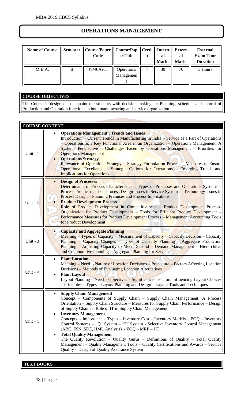## **OPERATIONS MANAGEMENT**

| <b>Name of Course</b> |   | Semester    Course/Paper    Course/Pap    Cred   <br>Code | er Title                | it             | Intern<br>al<br><b>Marks</b> | Extern<br>al<br><b>Marks</b> | <b>External</b><br><b>Exam Time</b><br><b>Duration</b> |
|-----------------------|---|-----------------------------------------------------------|-------------------------|----------------|------------------------------|------------------------------|--------------------------------------------------------|
| M.B.A.                | П | 19MBA205                                                  | Operations<br>Managemen | $\overline{4}$ | 30                           | 70                           | 3 Hours                                                |

## **COURSE OBJECTIVES**

The Course is designed to acquaint the students with decision making in: Planning, schedule and control of Production and Operation functions in both manufacturing and service organization.

| <b>COURSE CONTENT</b> |                                                                                                                                                                                                                                                                                                                                                                                                                                                                                                                                                                                                                                                                                                                                                                                              |
|-----------------------|----------------------------------------------------------------------------------------------------------------------------------------------------------------------------------------------------------------------------------------------------------------------------------------------------------------------------------------------------------------------------------------------------------------------------------------------------------------------------------------------------------------------------------------------------------------------------------------------------------------------------------------------------------------------------------------------------------------------------------------------------------------------------------------------|
| Unit - 1              | <b>Operations Management: Trends and Issues</b><br>Introduction - Current Trends in Manufacturing in India - Service as a Part of Operations<br>- Operations as a Key Functional Area in an Organization - Operations Management: A<br>Systems Perspective - Challenges Faced by Operations Management - Priorities for<br><b>Operations Management</b><br><b>Operations Strategy</b><br>Relevance of Operations Strategy - Strategy Formulation Process - Measures to Ensure<br>Operational Excellence – Strategic Options for Operations – Emerging Trends and<br><b>Implications for Operations</b>                                                                                                                                                                                       |
| Unit $-2$             | <b>Design of Processes</b><br>$\bullet$<br>Determinants of Process Characteristics – Types of Processes and Operations Systems –<br><u>Process Product matrix – Process Design Issues in Service Systems – Technology Issues in</u><br>Process Design – Planning Premises and Process Implications<br><b>Product Development Process</b><br>Role of Product Development in Competitiveness - Product Development Process-<br>Organization for Product Development - Tools for Efficient Product Development -<br>Performance Measures for Product Development Process - Management Accounting Tools<br>for Product Development                                                                                                                                                               |
| Unit - $3$            | • Capacity and Aggregate Planning<br>Meaning – Types of Capacity – Measurement of Capacity – Capacity Decision – Capacity<br>Planning – Capacity Changes – Types of Capacity Planning – Aggregate Production<br>Planning – Adjusting Capacity to Meet Demand – Demand Management – Hierarchical<br>and Collaborative Planning - Aggregate Planning for Services                                                                                                                                                                                                                                                                                                                                                                                                                              |
| Unit $-4$             | <b>Plant Location</b><br>$\bullet$<br>Meaning – Need - Nature of Location Decisions – Procedure – Factors Affecting Location<br>Decisions - Methods of Evaluating Location Alternatives<br><b>Plant Layout</b><br>٠<br>Layout Planning – Need – Objectives – Significance – Factors Influencing Layout Choices<br>- Principles - Types - Layout Planning and Design - Layout Tools and Techniques                                                                                                                                                                                                                                                                                                                                                                                            |
| Unit $-5$             | <b>Supply Chain Management</b><br>Concept - Components of Supply Chain - Supply Chain Management: A Process<br>Orientation – Supply Chain Structure – Measures for Supply Chain Performance – Design<br>of Supply Chains – Role of IT in Supply Chain Management<br><b>Inventory Management</b><br>Concepts - Importance – Types – Inventory Cost – Inventory Models – EOQ – Inventory<br>Control Systems - "Q" System - "P" System - Selective Inventory Control Management<br>(ABC, FSN, SDE, HML Analysis) - EOQ - MRP - JIT<br><b>Total Quality Management</b><br>The Quality Revolution – Quality Gurus – Definitions of Quality – Total Quality<br>Management – Quality Management Tools – Quality Certifications and Awards – Service<br>Quality – Design of Quality Assurance System |

## **TEXT BOOKS**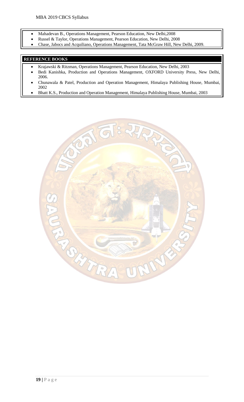- Mahadevan B., Operations Management, Pearson Education, New Delhi,2008
- Russel & Taylor, Operations Management, Pearson Education, New Delhi, 2008
- Chase, Jabocs and Acquiliano, Operations Management, Tata McGraw Hill, New Delhi, 2009.

- Krajawski & Ritzman, Operations Management, Pearson Education, New Delhi, 2003
- Bedi Kanishka, Production and Operations Management, OXFORD University Press, New Delhi, 2006.
- Chunawala & Patel, Production and Operation Management, Himalaya Publishing House, Mumbai, 2002
- Bhatt K.S., Production and Operation Management, Himalaya Publishing House, Mumbai, 2003

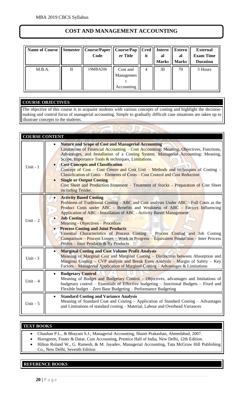## **COST AND MANAGEMENT ACCOUNTING**

| Name of Course | <b>Semester</b> | Course/Paper   Course/Pap<br>Code | er Title                            | Cred  <br>it | <b>Intern</b><br>al<br><b>Marks</b> | <b>Extern</b><br>al<br><b>Marks</b> | <b>External</b><br><b>Exam Time</b><br><b>Duration</b> |
|----------------|-----------------|-----------------------------------|-------------------------------------|--------------|-------------------------------------|-------------------------------------|--------------------------------------------------------|
| M.B.A.         | П               | 19MBA206                          | Cost and<br>Managemen<br>Accounting | 4            | 30                                  | 70                                  | 3 Hours                                                |

## **COURSE OBJECTIVES**

The objective of this course is to acquaint students with various concepts of costing and highlight the decisionmaking and control focus of managerial accounting. Simple to gradually difficult case situations are taken up to illustrate concepts to the students.

| <b>COURSE CONTENT</b> |                                                                                                                                                                                                                                                                                                                                                                                                                                                                                                                                                                                                                                                                         |
|-----------------------|-------------------------------------------------------------------------------------------------------------------------------------------------------------------------------------------------------------------------------------------------------------------------------------------------------------------------------------------------------------------------------------------------------------------------------------------------------------------------------------------------------------------------------------------------------------------------------------------------------------------------------------------------------------------------|
| Unit - 1              | <b>Nature and Scope of Cost and Managerial Accounting</b><br>Limitations of Financial Accounting – Cost Accounting: Meaning, Objectives, Functions,<br>Advantages, and Installation of a Costing System. Managerial Accounting: Meaning,<br>Scope, Importance Tools & techniques, Limitations.<br><b>Cost Concepts and Classification</b><br>Concept of Cost – Cost Centre and Cost Unit – Methods and techniques of Costing –<br><b>Classification of Costs – Elements of Costs – Cost Control and Cost Reduction</b><br><b>Single or Output Costing</b><br>Cost Sheet and Production Statement - Treatment of Stocks - Preparation of Cost Sheet<br>including Tender. |
| Unit $-2$             | <b>Activity Based Costing</b><br>Problems of Traditional Costing - ABC and Cost analysis Under ABC - Full Costs as the<br>Product Costs under ABC - Benefits and Weakness of ABC - Factors Influencing<br>Application of ABC - Installation of ABC - Activity Based Management<br><b>Job Costing</b><br><b>Meaning - Objectives - Procedure</b><br><b>Process Costing and Joint Products</b><br>Essential Characteristics of Process Costing - Process Costing and Job Costing<br>Comparison – Process Losses – Work in Progress – Equivalent Production – Inter Process<br>Profits – Joint Products & By Products                                                      |
| Unit - $3$            | <b>Marginal Costing and Cost Volume Profit Analysis</b><br>$\bullet$<br>Meaning of Marginal Cost and Marginal Costing – Distinction between Absorption and<br>Marginal Costing – CVP analysis and Break Even Analysis – Margin of Safety – Key<br>Factors - Managerial Application of Marginal Costing - Advantages & Limitations                                                                                                                                                                                                                                                                                                                                       |
| $Unit - 4$            | <b>Budgetary Control</b><br>$\bullet$<br>Meaning of Budget and Budgetary Control - Objectives, advantages and limitations of<br>budgetary control – Essentials of Effective budgeting – functional Budgets – Fixed and<br>Flexible budget - Zero Base Budgeting - Performance Budgeting                                                                                                                                                                                                                                                                                                                                                                                 |
| Unit $-5$             | <b>Standard Costing and Variance Analysis</b><br>$\bullet$<br>Meaning of Standard Coat and Costing - Application of Standard Costing - Advantages<br>and Limitations of standard costing - Material, Labour and Overhead Variances                                                                                                                                                                                                                                                                                                                                                                                                                                      |

### **TEXT BOOKS**

- Chauhan P.L., & Bhayani S.J., Managerial Accounting, Shanti Prakashan, Ahmedabad, 2007.
- Horngreen, Foster & Datar, Cost Accounting, Prentice Hall of India, New Delhi, 12th Edition.
- Hilton Roland W., G. Ramesh, & M. Jayadev, Managerial Accounting, Tata McGraw Hill Publishing Co., New Delhi, Seventh Edition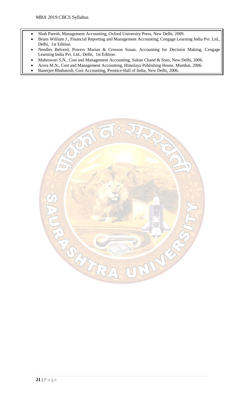- Shah Paresh, Management Accounting, Oxford University Press, New Delhi, 2009.
- Bruns William J., Financial Reporting and Management Accounting, Cengage Learning India Pvt. Ltd., Delhi, 1st Edition.
- Needles Belverd, Powers Marian & Crosson Susan, Accounting for Decision Making, Cengage Learning India Pvt. Ltd., Delhi, 1st Edition.
- Maheswari S.N., Cost and Management Accounting, Sultan Chand & Sons, New Delhi, 2006.
- Arora M.N., Cost and Management Accounting, Himalaya Publishing House, Mumbai, 2006.
- Banerjee Bhabatosh, Cost Accounting, Prentice-Hall of India, New Delhi, 2006.